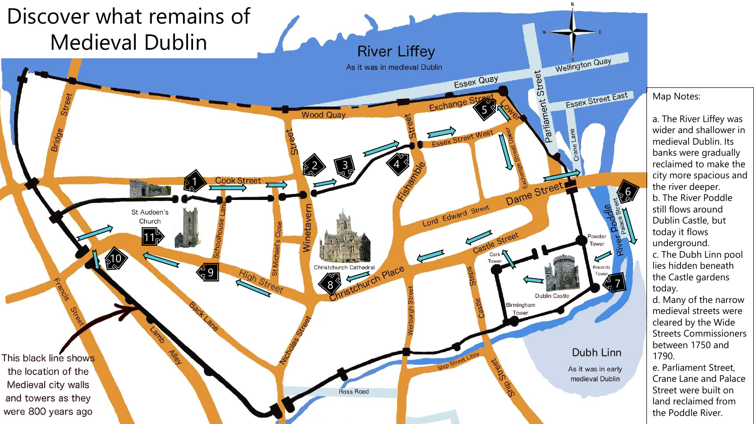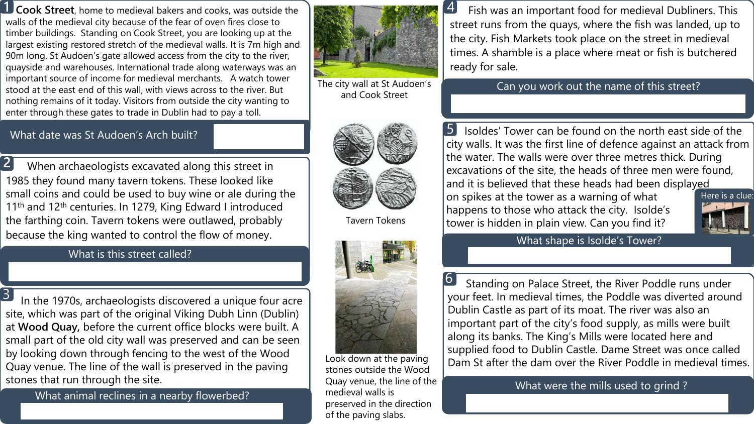**Cook Street**, home to medieval bakers and cooks, was outside the walls of the medieval city because of the fear of oven fires close to timber buildings. Standing on Cook Street, you are looking up at the largest existing restored stretch of the medieval walls. It is 7m high and 90m long. St Audoen's gate allowed access from the city to the river, quayside and warehouses. International trade along waterways was an important source of income for medieval merchants. A watch tower stood at the east end of this wall, with views across to the river. But nothing remains of it today. Visitors from outside the city wanting to enter through these gates to trade in Dublin had to pay a toll. **1**



4

The city wall at St Audoen's and Cook Street

Fish was an important food for medieval Dubliners. This street runs from the quays, where the fish was landed, up to the city. Fish Markets took place on the street in medieval times. A shamble is a place where meat or fish is butchered ready for sale.

Can you work out the name of this street?

Isoldes' Tower can be found on the north east side of the city walls. It was the first line of defence against an attack from the water. The walls were over three metres thick. During excavations of the site, the heads of three men were found, and it is believed that these heads had been displayed 5

on spikes at the tower as a warning of what happens to those who attack the city. Isolde's tower is hidden in plain view. Can you find it?



### What shape is Isolde's Tower?

Standing on Palace Street, the River Poddle runs under your feet. In medieval times, the Poddle was diverted around Dublin Castle as part of its moat. The river was also an important part of the city's food supply, as mills were built along its banks. The King's Mills were located here and supplied food to Dublin Castle. Dame Street was once called Dam St after the dam over the River Poddle in medieval times. 6

What were the mills used to grind ?

#### What date was St Audoen's Arch built?

When archaeologists excavated along this street in 1985 they found many tavern tokens. These looked like small coins and could be used to buy wine or ale during the 11<sup>th</sup> and 12<sup>th</sup> centuries. In 1279, King Edward I introduced the farthing coin. Tavern tokens were outlawed, probably because the king wanted to control the flow of money. **2**

## What is this street called?

In the 1970s, archaeologists discovered a unique four acre site, which was part of the original Viking Dubh Linn (Dublin) at **Wood Quay,** before the current office blocks were built. A small part of the old city wall was preserved and can be seen by looking down through fencing to the west of the Wood Quay venue. The line of the wall is preserved in the paving stones that run through the site. 3

What animal reclines in a nearby flowerbed?



Tavern Tokens



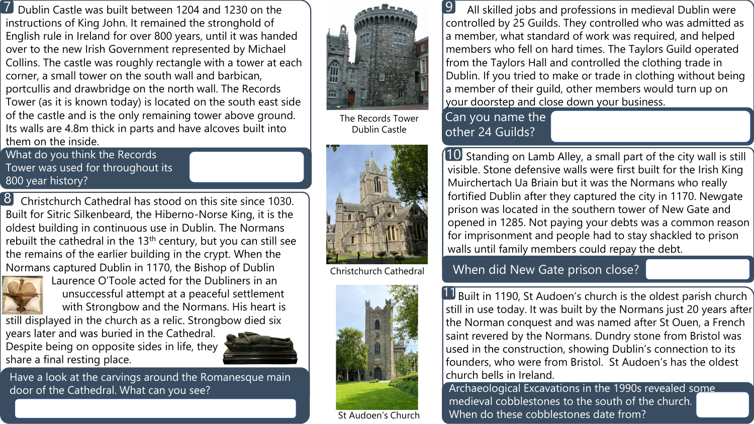Dublin Castle was built between 1204 and 1230 on the instructions of King John. It remained the stronghold of English rule in Ireland for over 800 years, until it was handed over to the new Irish Government represented by Michael Collins. The castle was roughly rectangle with a tower at each corner, a small tower on the south wall and barbican, portcullis and drawbridge on the north wall. The Records Tower (as it is known today) is located on the south east side of the castle and is the only remaining tower above ground. Its walls are 4.8m thick in parts and have alcoves built into them on the inside. 7

What do you think the Records Tower was used for throughout its 800 year history?

Christchurch Cathedral has stood on this site since 1030. Built for Sitric Silkenbeard, the Hiberno-Norse King, it is the oldest building in continuous use in Dublin. The Normans rebuilt the cathedral in the  $13<sup>th</sup>$  century, but you can still see the remains of the earlier building in the crypt. When the Normans captured Dublin in 1170, the Bishop of Dublin 8



Laurence O'Toole acted for the Dubliners in an unsuccessful attempt at a peaceful settlement with Strongbow and the Normans. His heart is

still displayed in the church as a relic. Strongbow died six years later and was buried in the Cathedral. Despite being on opposite sides in life, they share a final resting place.



Have a look at the carvings around the Romanesque main door of the Cathedral. What can you see? Archaeological Excavations in the 1990s revealed some



The Records Tower Dublin Castle



Christchurch Cathedral



St Audoen's Church

All skilled jobs and professions in medieval Dublin were controlled by 25 Guilds. They controlled who was admitted as a member, what standard of work was required, and helped members who fell on hard times. The Taylors Guild operated from the Taylors Hall and controlled the clothing trade in Dublin. If you tried to make or trade in clothing without being a member of their guild, other members would turn up on your doorstep and close down your business. 9

10 Standing on Lamb Alley, a small part of the city wall is still visible. Stone defensive walls were first built for the Irish King Muirchertach Ua Briain but it was the Normans who really fortified Dublin after they captured the city in 1170. Newgate prison was located in the southern tower of New Gate and

opened in 1285. Not paying your debts was a common reason for imprisonment and people had to stay shackled to prison

Can you name the other 24 Guilds?

When did New Gate prison close?

walls until family members could repay the debt.



11 Built in 1190, St Audoen's church is the oldest parish church

still in use today. It was built by the Normans just 20 years after the Norman conquest and was named after St Ouen, a French saint revered by the Normans. Dundry stone from Bristol was used in the construction, showing Dublin's connection to its founders, who were from Bristol. St Audoen's has the oldest church bells in Ireland.

medieval cobblestones to the south of the church. When do these cobblestones date from?